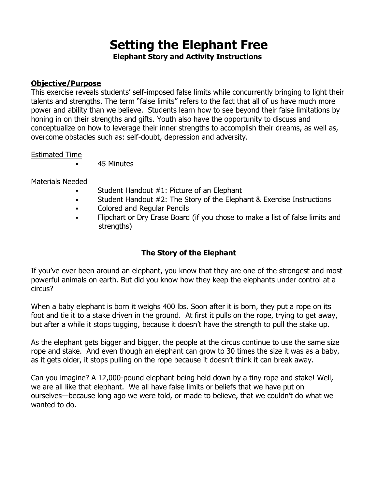# **Setting the Elephant Free**

**Elephant Story and Activity Instructions**

#### **Objective/Purpose**

This exercise reveals students' self-imposed false limits while concurrently bringing to light their talents and strengths. The term "false limits" refers to the fact that all of us have much more power and ability than we believe. Students learn how to see beyond their false limitations by honing in on their strengths and gifts. Youth also have the opportunity to discuss and conceptualize on how to leverage their inner strengths to accomplish their dreams, as well as, overcome obstacles such as: self-doubt, depression and adversity.

#### Estimated Time

45 Minutes

#### Materials Needed

- Student Handout #1: Picture of an Elephant
- Student Handout #2: The Story of the Elephant & Exercise Instructions
- **Example 2** Colored and Regular Pencils
- Flipchart or Dry Erase Board (if you chose to make a list of false limits and strengths)

### **The Story of the Elephant**

If you've ever been around an elephant, you know that they are one of the strongest and most powerful animals on earth. But did you know how they keep the elephants under control at a circus?

When a baby elephant is born it weighs 400 lbs. Soon after it is born, they put a rope on its foot and tie it to a stake driven in the ground. At first it pulls on the rope, trying to get away, but after a while it stops tugging, because it doesn't have the strength to pull the stake up.

As the elephant gets bigger and bigger, the people at the circus continue to use the same size rope and stake. And even though an elephant can grow to 30 times the size it was as a baby, as it gets older, it stops pulling on the rope because it doesn't think it can break away.

Can you imagine? A 12,000-pound elephant being held down by a tiny rope and stake! Well, we are all like that elephant. We all have false limits or beliefs that we have put on ourselves—because long ago we were told, or made to believe, that we couldn't do what we wanted to do.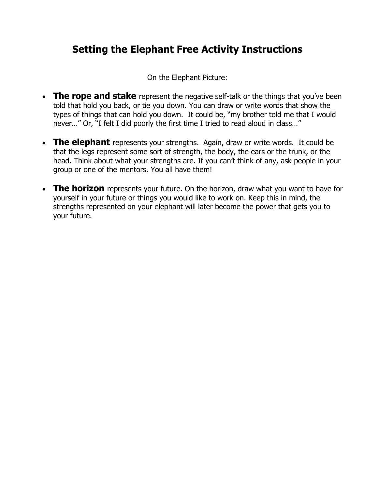## **Setting the Elephant Free Activity Instructions**

On the Elephant Picture:

- **The rope and stake** represent the negative self-talk or the things that you've been told that hold you back, or tie you down. You can draw or write words that show the types of things that can hold you down. It could be, "my brother told me that I would never…" Or, "I felt I did poorly the first time I tried to read aloud in class…"
- The elephant represents your strengths. Again, draw or write words. It could be that the legs represent some sort of strength, the body, the ears or the trunk, or the head. Think about what your strengths are. If you can't think of any, ask people in your group or one of the mentors. You all have them!
- **The horizon** represents your future. On the horizon, draw what you want to have for yourself in your future or things you would like to work on. Keep this in mind, the strengths represented on your elephant will later become the power that gets you to your future.